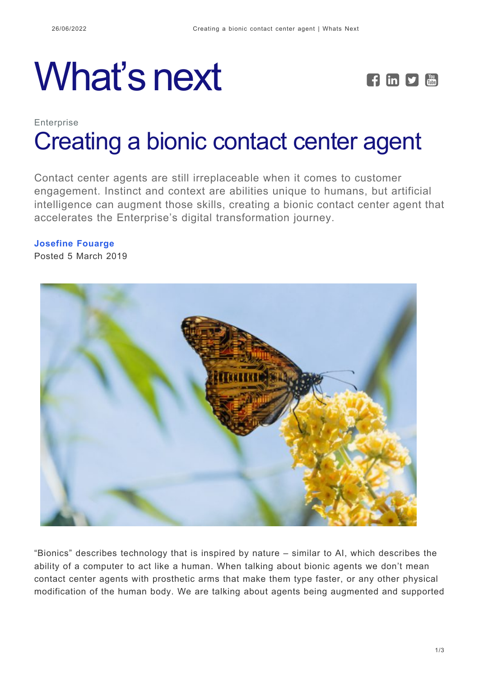# What's next **FEPE**



# **Enterprise** [Creating a bionic contact center agent](https://whatsnext.nuance.com/en-gb/enterprise/bionic-contact-center-agent/)

Contact center agents are still irreplaceable when it comes to customer engagement. Instinct and context are abilities unique to humans, but artificial intelligence can augment those skills, creating a bionic contact center agent that accelerates the Enterprise's digital transformation journey.

# **[Josefine Fouarge](https://whatsnext.nuance.com/en-gb/author/josefine-fouarge/)**

Posted 5 March 2019



"Bionics" describes technology that is inspired by nature – similar to AI, which describes the ability of a computer to act like a human. When talking about bionic agents we don't mean contact center agents with prosthetic arms that make them type faster, or any other physical modification of the human body. We are talking about agents being augmented and supported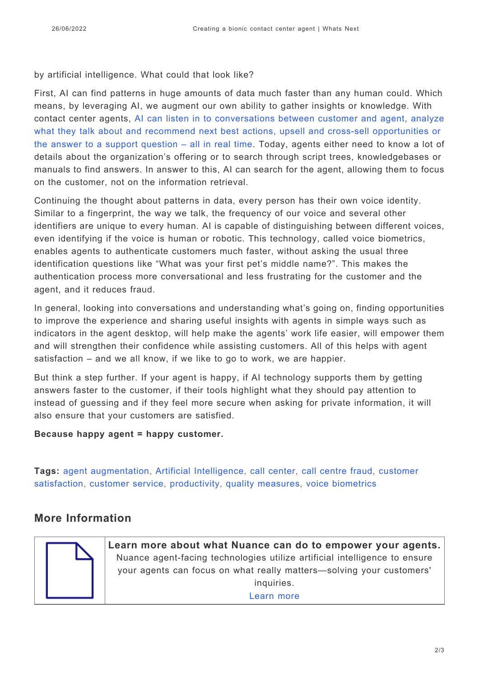#### by artificial intelligence. What could that look like?

First, AI can find patterns in huge amounts of data much faster than any human could. Which means, by leveraging AI, we augment our own ability to gather insights or knowledge. With contact center agents, [AI can listen in to conversations between customer and agent, analyze](https://www.nuance.com/en-gb/omni-channel-customer-engagement/digital/agent-ai) [what they talk about and recommend next best actions, upsell and cross-sell opportunities or](https://www.nuance.com/en-gb/omni-channel-customer-engagement/digital/agent-ai) [the answer to a support question – all in real time](https://www.nuance.com/en-gb/omni-channel-customer-engagement/digital/agent-ai). Today, agents either need to know a lot of details about the organization's offering or to search through script trees, knowledgebases or manuals to find answers. In answer to this, AI can search for the agent, allowing them to focus on the customer, not on the information retrieval.

Continuing the thought about patterns in data, every person has their own voice identity. Similar to a fingerprint, the way we talk, the frequency of our voice and several other identifiers are unique to every human. AI is capable of distinguishing between different voices, even identifying if the voice is human or robotic. This technology, called voice biometrics, enables agents to authenticate customers much faster, without asking the usual three identification questions like "What was your first pet's middle name?". This makes the authentication process more conversational and less frustrating for the customer and the agent, and it reduces fraud.

In general, looking into conversations and understanding what's going on, finding opportunities to improve the experience and sharing useful insights with agents in simple ways such as indicators in the agent desktop, will help make the agents' work life easier, will empower them and will strengthen their confidence while assisting customers. All of this helps with agent satisfaction – and we all know, if we like to go to work, we are happier.

But think a step further. If your agent is happy, if AI technology supports them by getting answers faster to the customer, if their tools highlight what they should pay attention to instead of guessing and if they feel more secure when asking for private information, it will also ensure that your customers are satisfied.

#### **Because happy agent = happy customer.**

**Tags:** [agent augmentation,](https://whatsnext.nuance.com/en-gb/tag/agent-augmentation/) [Artificial Intelligence](https://whatsnext.nuance.com/en-gb/tag/artificial-intelligence/), [call center](https://whatsnext.nuance.com/en-gb/tag/call-center/), [call centre fraud](https://whatsnext.nuance.com/en-gb/tag/call-centre-fraud/), [customer](https://whatsnext.nuance.com/en-gb/tag/customer-satisfaction/) [satisfaction,](https://whatsnext.nuance.com/en-gb/tag/customer-satisfaction/) [customer service,](https://whatsnext.nuance.com/en-gb/tag/customer-service/) [productivity](https://whatsnext.nuance.com/en-gb/tag/productivity/), [quality measures,](https://whatsnext.nuance.com/en-gb/tag/quality-measures/) [voice biometrics](https://whatsnext.nuance.com/en-gb/tag/voice-biometrics/)

### **More Information**



**Learn more about what Nuance can do to empower your agents.** Nuance agent-facing technologies utilize artificial intelligence to ensure your agents can focus on what really matters—solving your customers' inquiries. [Learn more](https://www.nuance.com/en-gb/omni-channel-customer-engagement/digital/agent-ai)